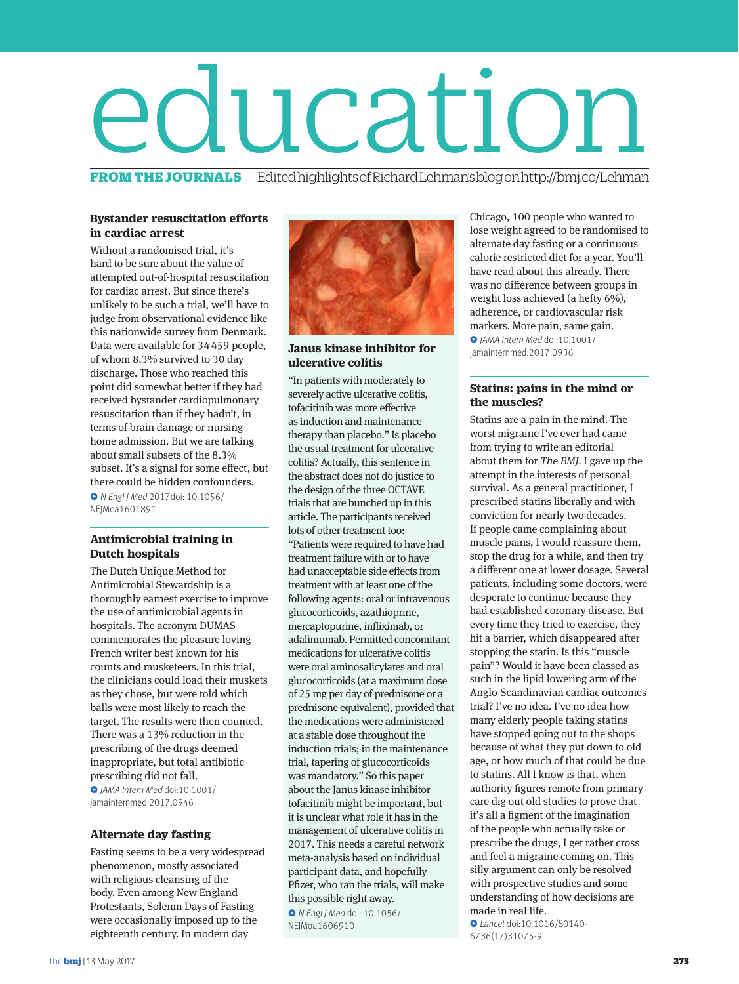# **education**

Edited highlights of Richard Lehman's blog on http://bmj.co/Lehman

# **Bystander resuscitation efforts in cardiac arrest**

Without a randomised trial, it's hard to be sure about the value of attempted out-of-hospital resuscitation for cardiac arrest. But since there's unlikely to be such a trial, we'll have to judge from observational evidence like this nationwide survey from Denmark. Data were available for 34459 people, of whom 8.3% survived to 30 day discharge. Those who reached this point did somewhat better if they had received bystander cardiopulmonary resuscitation than if they hadn't, in terms of brain damage or nursing home admission. But we are talking about small subsets of the 8.3% subset. It's a signal for some effect, but there could be hidden confounders. ̻ N Engl J Med 2017doi: 10.1056/ NEJMoa1601891

# **Antimicrobial training in Dutch hospitals**

The Dutch Unique Method for Antimicrobial Stewardship is a thoroughly earnest exercise to improve the use of antimicrobial agents in hospitals. The acronym DUMAS commemorates the pleasure loving French writer best known for his counts and musketeers. In this trial, the clinicians could load their muskets as they chose, but were told which balls were most likely to reach the target. The results were then counted. There was a 13% reduction in the prescribing of the drugs deemed inappropriate, but total antibiotic prescribing did not fall. ̻ JAMA Intern Med doi:10.1001/

jamainternmed.2017.0946

# **Alternate day fasting**

Fasting seems to be a very widespread phenomenon, mostly associated with religious cleansing of the body. Even among New England Protestants, Solemn Days of Fasting were occasionally imposed up to the eighteenth century. In modern day



# **Janus kinase inhibitor for ulcerative colitis**

"In patients with moderately to severely active ulcerative colitis, tofacitinib was more effective as induction and maintenance therapy than placebo." Is placebo the usual treatment for ulcerative colitis? Actually, this sentence in the abstract does not do justice to the design of the three OCTAVE trials that are bunched up in this article. The participants received lots of other treatment too: "Patients were required to have had treatment failure with or to have had unacceptable side effects from treatment with at least one of the following agents: oral or intravenous glucocorticoids, azathioprine, mercaptopurine, infliximab, or adalimumab. Permitted concomitant medications for ulcerative colitis were oral aminosalicylates and oral glucocorticoids (at a maximum dose of 25 mg per day of prednisone or a prednisone equivalent), provided that the medications were administered at a stable dose throughout the induction trials; in the maintenance trial, tapering of glucocorticoids was mandatory." So this paper about the Janus kinase inhibitor tofacitinib might be important, but it is unclear what role it has in the management of ulcerative colitis in 2017. This needs a careful network meta-analysis based on individual participant data, and hopefully Pfizer, who ran the trials, will make this possible right away.

̻ N Engl J Med doi: 10.1056/ NEIMoa1606910

Chicago, 100 people who wanted to lose weight agreed to be randomised to alternate day fasting or a continuous calorie restricted diet for a year. You'll have read about this already. There was no difference between groups in weight loss achieved (a hefty 6%), adherence, or cardiovascular risk markers. More pain, same gain. ̻ JAMA Intern Med doi:10.1001/ jamainternmed.2017.0936

# **Statins: pains in the mind or the muscles?**

Statins are a pain in the mind. The worst migraine I've ever had came from trying to write an editorial about them for The BMJ. I gave up the attempt in the interests of personal survival. As a general practitioner, I prescribed statins liberally and with conviction for nearly two decades. If people came complaining about muscle pains, I would reassure them, stop the drug for a while, and then try a different one at lower dosage. Several patients, including some doctors, were desperate to continue because they had established coronary disease. But every time they tried to exercise, they hit a barrier, which disappeared after stopping the statin. Is this "muscle pain"? Would it have been classed as such in the lipid lowering arm of the Anglo-Scandinavian cardiac outcomes trial? I've no idea. I've no idea how many elderly people taking statins have stopped going out to the shops because of what they put down to old age, or how much of that could be due to statins. All I know is that, when authority figures remote from primary care dig out old studies to prove that it's all a figment of the imagination of the people who actually take or prescribe the drugs, I get rather cross and feel a migraine coming on. This silly argument can only be resolved with prospective studies and some understanding of how decisions are made in real life. ̻ Lancet doi:10.1016/S0140-

6736(17)31075-9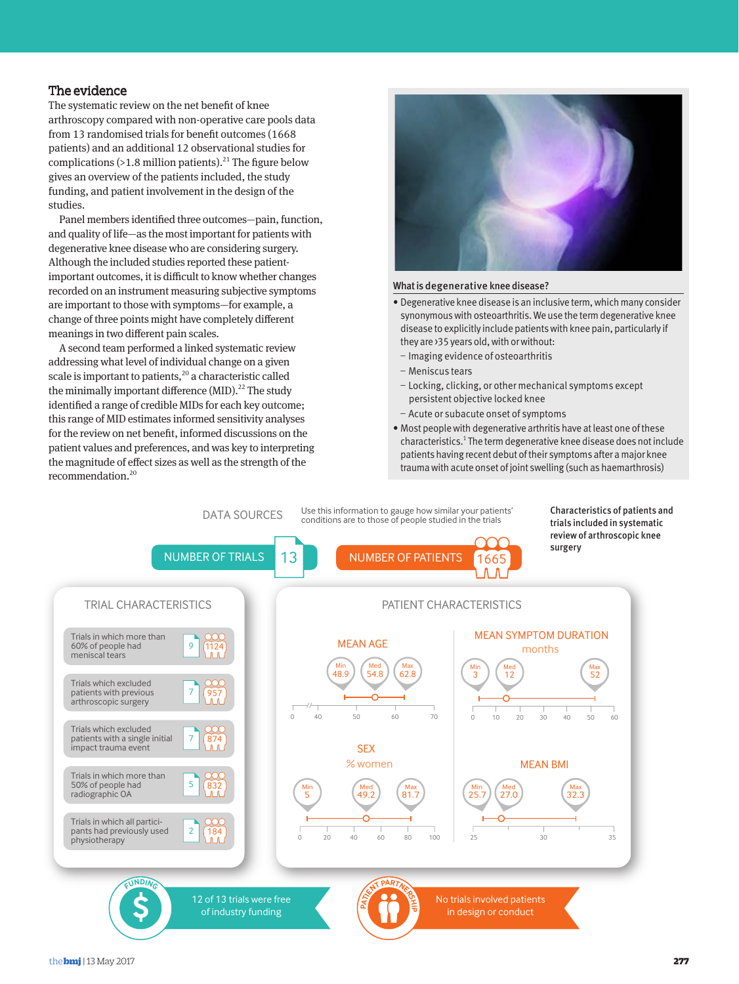# The evidence

The systematic review on the net benefit of knee arthroscopy compared with non-operative care pools data from 13 randomised trials for benefit outcomes (1668 patients) and an additional 12 observational studies for complications (>1.8 million patients).<sup>21</sup> The figure below gives an overview of the patients included, the study funding, and patient involvement in the design of the studies.

Panel members identified three outcomes—pain, function, and quality of life—as the most important for patients with degenerative knee disease who are considering surgery. Although the included studies reported these patientimportant outcomes, it is difficult to know whether changes recorded on an instrument measuring subjective symptoms are important to those with symptoms—for example, a change of three points might have completely different meanings in two different pain scales.

A second team performed a linked systematic review addressing what level of individual change on a given scale is important to patients,<sup>20</sup> a characteristic called the minimally important difference  $(MID).^{22}$  The study identified a range of credible MIDs for each key outcome; this range of MID estimates informed sensitivity analyses for the review on net benefit, informed discussions on the patient values and preferences, and was key to interpreting the magnitude of effect sizes as well as the strength of the recommendation.<sup>20</sup>



# What is degenerative knee disease?

- Degenerative knee disease is an inclusive term, which many consider synonymous with osteoarthritis. We use the term degenerative knee disease to explicitly include patients with knee pain, particularly if they are >35 years old, with or without:
- Imaging evidence of osteoarthritis
- Meniscus tears
- Locking, clicking, or other mechanical symptoms except persistent objective locked knee
- Acute or subacute onset of symptoms
- Most people with degenerative arthritis have at least one of these characteristics.<sup>1</sup> The term degenerative knee disease does not include patients having recent debut of their symptoms after a major knee trauma with acute onset of joint swelling (such as haemarthrosis)

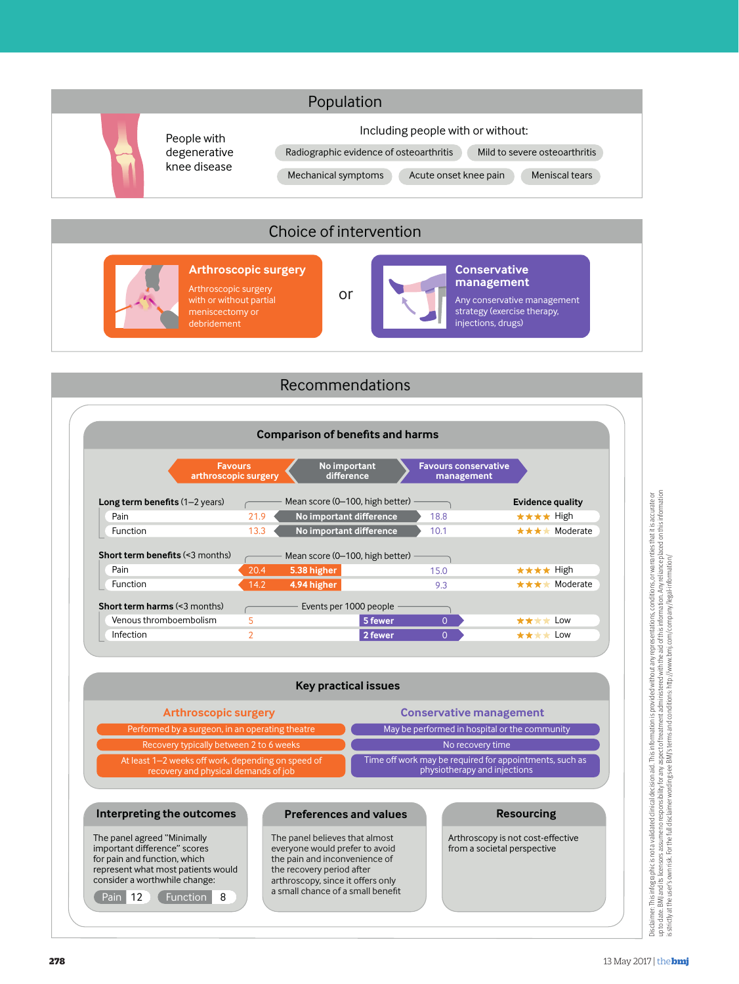

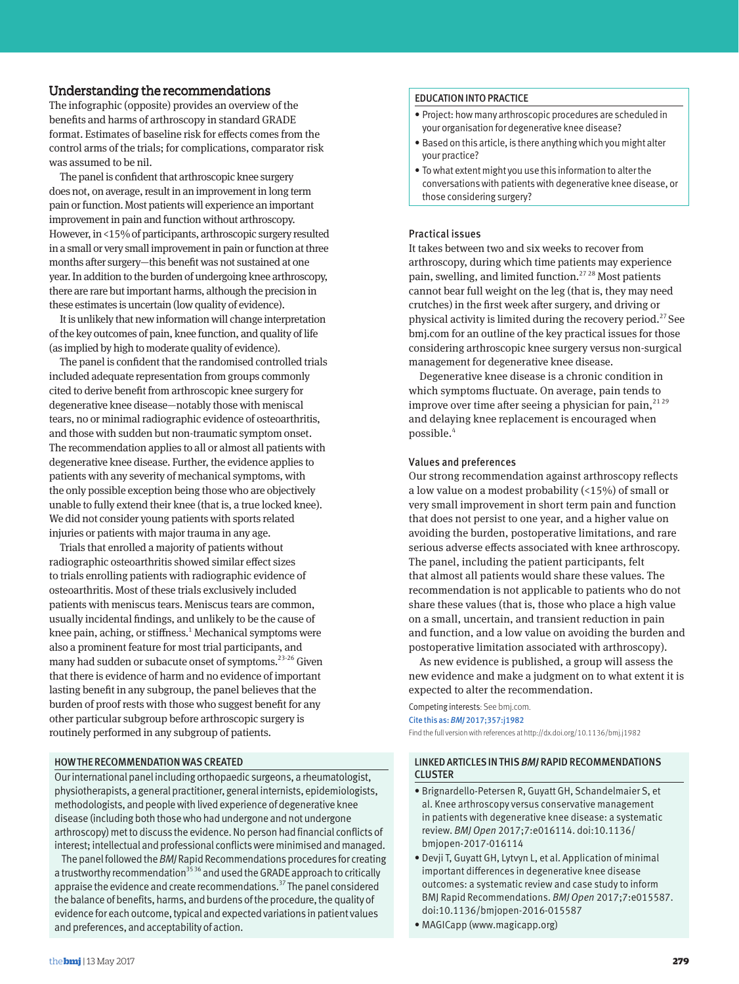# Understanding the recommendations

The infographic (opposite) provides an overview of the benefits and harms of arthroscopy in standard GRADE format. Estimates of baseline risk for effects comes from the control arms of the trials; for complications, comparator risk was assumed to be nil.

The panel is confident that arthroscopic knee surgery does not, on average, result in an improvement in long term pain or function. Most patients will experience an important improvement in pain and function without arthroscopy. However, in <15% of participants, arthroscopic surgery resulted in a small or very small improvement in pain or function at three months after surgery—this benefit was not sustained at one year. In addition to the burden of undergoing knee arthroscopy, there are rare but important harms, although the precision in these estimates is uncertain (low quality of evidence).

It is unlikely that new information will change interpretation of the key outcomes of pain, knee function, and quality of life (as implied by high to moderate quality of evidence).

The panel is confident that the randomised controlled trials included adequate representation from groups commonly cited to derive benefit from arthroscopic knee surgery for degenerative knee disease—notably those with meniscal tears, no or minimal radiographic evidence of osteoarthritis, and those with sudden but non-traumatic symptom onset. The recommendation applies to all or almost all patients with degenerative knee disease. Further, the evidence applies to patients with any severity of mechanical symptoms, with the only possible exception being those who are objectively unable to fully extend their knee (that is, a true locked knee). We did not consider young patients with sports related injuries or patients with major trauma in any age.

Trials that enrolled a majority of patients without radiographic osteoarthritis showed similar effect sizes to trials enrolling patients with radiographic evidence of osteoarthritis. Most of these trials exclusively included patients with meniscus tears. Meniscus tears are common, usually incidental findings, and unlikely to be the cause of knee pain, aching, or stiffness.<sup>1</sup> Mechanical symptoms were also a prominent feature for most trial participants, and many had sudden or subacute onset of symptoms.<sup>23-26</sup> Given that there is evidence of harm and no evidence of important lasting benefit in any subgroup, the panel believes that the burden of proof rests with those who suggest benefit for any other particular subgroup before arthroscopic surgery is routinely performed in any subgroup of patients.

# HOW THE RECOMMENDATION WAS CREATED

Our international panel including orthopaedic surgeons, a rheumatologist, physiotherapists, a general practitioner, general internists, epidemiologists, methodologists, and people with lived experience of degenerative knee disease (including both those who had undergone and not undergone arthroscopy) met to discuss the evidence. No person had financial conflicts of interest; intellectual and professional conflicts were minimised and managed.

The panel followed the *BMJ* Rapid Recommendations procedures for creating a trustworthy recommendation<sup>35 36</sup> and used the GRADE approach to critically appraise the evidence and create recommendations.<sup>37</sup> The panel considered the balance of benefits, harms, and burdens of the procedure, the quality of evidence for each outcome, typical and expected variations in patient values and preferences, and acceptability of action.

## EDUCATION INTO PRACTICE

- Project: how many arthroscopic procedures are scheduled in your organisation for degenerative knee disease?
- Based on this article, is there anything which you might alter your practice?
- To what extent might you use this information to alter the conversations with patients with degenerative knee disease, or those considering surgery?

# Practical issues

It takes between two and six weeks to recover from arthroscopy, during which time patients may experience pain, swelling, and limited function.<sup>2728</sup> Most patients cannot bear full weight on the leg (that is, they may need crutches) in the first week after surgery, and driving or physical activity is limited during the recovery period.<sup>27</sup> See bmj.com for an outline of the key practical issues for those considering arthroscopic knee surgery versus non-surgical management for degenerative knee disease.

Degenerative knee disease is a chronic condition in which symptoms fluctuate. On average, pain tends to improve over time after seeing a physician for pain,  $2129$ and delaying knee replacement is encouraged when possible.<sup>4</sup>

## Values and preferences

Our strong recommendation against arthroscopy reflects a low value on a modest probability (<15%) of small or very small improvement in short term pain and function that does not persist to one year, and a higher value on avoiding the burden, postoperative limitations, and rare serious adverse effects associated with knee arthroscopy. The panel, including the patient participants, felt that almost all patients would share these values. The recommendation is not applicable to patients who do not share these values (that is, those who place a high value on a small, uncertain, and transient reduction in pain and function, and a low value on avoiding the burden and postoperative limitation associated with arthroscopy).

As new evidence is published, a group will assess the new evidence and make a judgment on to what extent it is expected to alter the recommendation.

## Competing interests: See bmj.com. Cite this as: *BMJ* 2017;357:j1982

Find the full version with references at http://dx.doi.org/10.1136/bmj.j1982

# LINKED ARTICLES IN THIS *BMJ* RAPID RECOMMENDATIONS CLUSTER

- Brignardello-Petersen R, Guyatt GH, Schandelmaier S, et al. Knee arthroscopy versus conservative management in patients with degenerative knee disease: a systematic review. *BMJ Open* 2017;7:e016114. doi:10.1136/ bmjopen-2017-016114
- Devji T, Guyatt GH, Lytvyn L, et al. Application of minimal important differences in degenerative knee disease outcomes: a systematic review and case study to inform BMJ Rapid Recommendations. *BMJ Open* 2017;7:e015587. doi:10.1136/bmjopen-2016-015587
- MAGICapp (www.magicapp.org)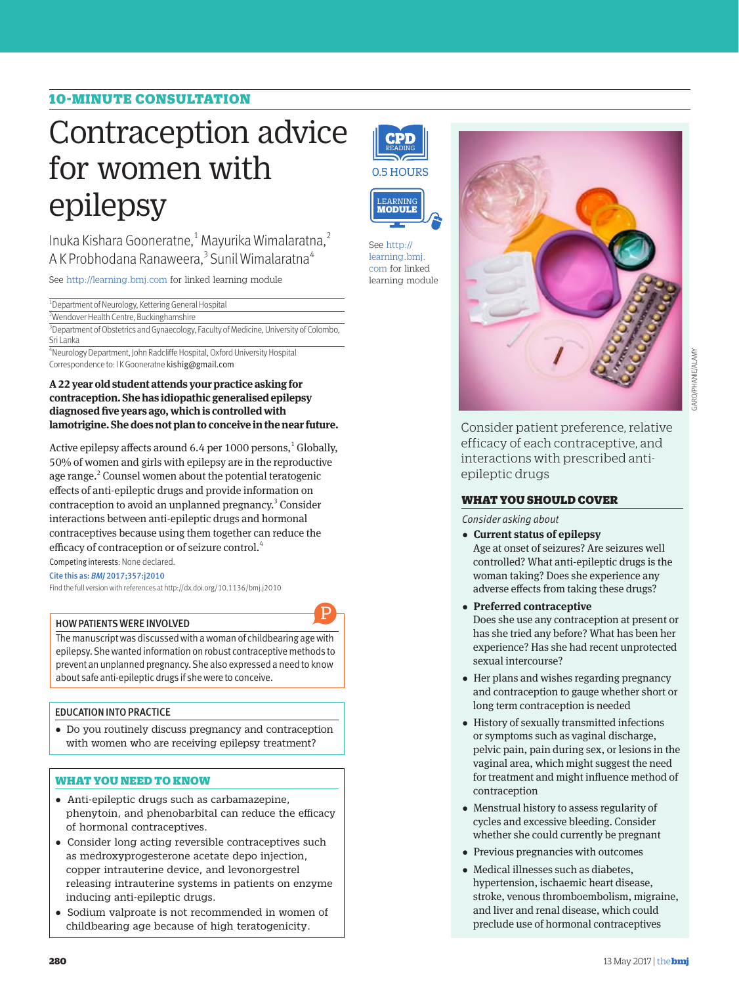# 10-MINUTE CONSULTATION

# Contraception advice for women with epilepsy

Inuka Kishara Gooneratne,<sup>1</sup> Mayurika Wimalaratna,<sup>2</sup> A K Probhodana Ranaweera,<sup>3</sup> Sunil Wimalaratna<sup>4</sup>

See http://learning.bmj.com for linked learning module

<sup>1</sup> Department of Neurology, Kettering General Hospital

2 Wendover Health Centre, Buckinghamshire wendover Health Centre, Buckinghamshire<br><sup>3</sup>Department of Obstetrics and Gynaecology, Faculty of Medicine, University of Colombo, Sri Lanka

4 Neurology Department, John Radcliffe Hospital, Oxford University Hospital Correspondence to: I K Gooneratne kishig@gmail.com

**A 22 year old student attends your practice asking for contraception. She has idiopathic generalised epilepsy diagnosed five years ago, which is controlled with**  lamotrigine. She does not plan to conceive in the near future.

Active epilepsy affects around  $6.4$  per  $1000$  persons,<sup>1</sup> Globally, 50% of women and girls with epilepsy are in the reproductive age range.<sup>2</sup> Counsel women about the potential teratogenic effects of anti-epileptic drugs and provide information on contraception to avoid an unplanned pregnancy.<sup>3</sup> Consider interactions between anti-epileptic drugs and hormonal contraceptives because using them together can reduce the efficacy of contraception or of seizure control.<sup>4</sup>

Competing interests: None declared.

Cite this as: *BMJ* 2017;357:j2010

Find the full version with references at http://dx.doi.org/10.1136/bmj.j2010

## HOW PATIENTS WERE INVOLVED

The manuscript was discussed with a woman of childbearing age with epilepsy. She wanted information on robust contraceptive methods to prevent an unplanned pregnancy. She also expressed a need to know about safe anti-epileptic drugs if she were to conceive.

P

# EDUCATION INTO PRACTICE

•  Do you routinely discuss pregnancy and contraception with women who are receiving epilepsy treatment?

# WHAT YOU NEED TO KNOW

- •  Anti-epileptic drugs such as carbamazepine, phenytoin, and phenobarbital can reduce the efficacy of hormonal contraceptives.
- •  Consider long acting reversible contraceptives such as medroxyprogesterone acetate depo injection, copper intrauterine device, and levonorgestrel releasing intrauterine systems in patients on enzyme inducing anti-epileptic drugs.
- •  Sodium valproate is not recommended in women of childbearing age because of high teratogenicity.





learning module See http:// learning.bmj. com for linked



Consider patient preference, relative efficacy of each contraceptive, and interactions with prescribed antiepileptic drugs

# WHAT YOU SHOULD COVER

*Consider asking about*

- •  **Current status of epilepsy** Age at onset of seizures? Are seizures well controlled? What anti-epileptic drugs is the woman taking? Does she experience any adverse effects from taking these drugs?
- •  **Preferred contraceptive** Does she use any contraception at present or has she tried any before? What has been her experience? Has she had recent unprotected sexual intercourse?
- Her plans and wishes regarding pregnancy and contraception to gauge whether short or long term contraception is needed
- •  History of sexually transmitted infections or symptoms such as vaginal discharge, pelvic pain, pain during sex, or lesions in the vaginal area, which might suggest the need for treatment and might influence method of contraception
- •  Menstrual history to assess regularity of cycles and excessive bleeding. Consider whether she could currently be pregnant
- •  Previous pregnancies with outcomes
- Medical illnesses such as diabetes, hypertension, ischaemic heart disease, stroke, venous thromboembolism, migraine, and liver and renal disease, which could preclude use of hormonal contraceptives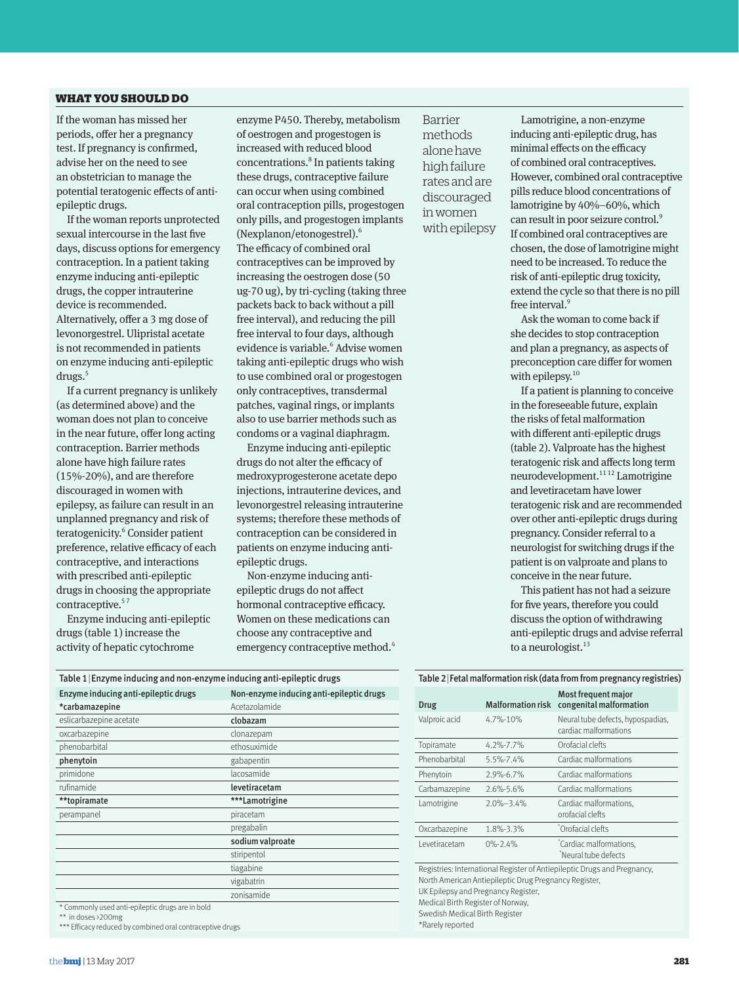# WHAT YOU SHOULD DO

If the woman has missed her periods, offer her a pregnancy test. If pregnancy is confirmed, advise her on the need to see an obstetrician to manage the potential teratogenic effects of antiepileptic drugs.

If the woman reports unprotected sexual intercourse in the last five days, discuss options for emergency contraception. In a patient taking enzyme inducing anti-epileptic drugs, the copper intrauterine device is recommended. Alternatively, offer a 3 mg dose of levonorgestrel. Ulipristal acetate is not recommended in patients on enzyme inducing anti-epileptic drugs.<sup>5</sup>

If a current pregnancy is unlikely (as determined above) and the woman does not plan to conceive in the near future, offer long acting contraception. Barrier methods alone have high failure rates (15%-20%), and are therefore discouraged in women with epilepsy, as failure can result in an unplanned pregnancy and risk of teratogenicity.<sup>6</sup> Consider patient preference, relative efficacy of each contraceptive, and interactions with prescribed anti-epileptic drugs in choosing the appropriate contraceptive.<sup>57</sup>

Enzyme inducing anti-epileptic drugs (table 1) increase the activity of hepatic cytochrome

enzyme P450. Thereby, metabolism of oestrogen and progestogen is increased with reduced blood concentrations.<sup>8</sup> In patients taking these drugs, contraceptive failure can occur when using combined oral contraception pills, progestogen only pills, and progestogen implants (Nexplanon/etonogestrel).6 The efficacy of combined oral contraceptives can be improved by increasing the oestrogen dose (50 ug-70 ug), by tri-cycling (taking three packets back to back without a pill free interval), and reducing the pill free interval to four days, although evidence is variable.<sup>6</sup> Advise women taking anti-epileptic drugs who wish to use combined oral or progestogen only contraceptives, transdermal patches, vaginal rings, or implants also to use barrier methods such as condoms or a vaginal diaphragm.

Enzyme inducing anti-epileptic drugs do not alter the efficacy of medroxyprogesterone acetate depo injections, intrauterine devices, and levonorgestrel releasing intrauterine systems; therefore these methods of contraception can be considered in patients on enzyme inducing antiepileptic drugs.

Non-enzyme inducing antiepileptic drugs do not affect hormonal contraceptive efficacy. Women on these medications can choose any contraceptive and emergency contraceptive method.<sup>4</sup>

Barrier methods alone have high failure rates and are discouraged in women with epilepsy

Lamotrigine, a non-enzyme inducing anti-epileptic drug, has minimal effects on the efficacy of combined oral contraceptives. However, combined oral contraceptive pills reduce blood concentrations of lamotrigine by 40%–60%, which can result in poor seizure control.<sup>9</sup> If combined oral contraceptives are chosen, the dose of lamotrigine might need to be increased. To reduce the risk of anti-epileptic drug toxicity, extend the cycle so that there is no pill free interval.<sup>9</sup>

Ask the woman to come back if she decides to stop contraception and plan a pregnancy, as aspects of preconception care differ for women with epilepsy.<sup>10</sup>

If a patient is planning to conceive in the foreseeable future, explain the risks of fetal malformation with different anti-epileptic drugs (table 2). Valproate has the highest teratogenic risk and affects long term neurodevelopment.<sup>11 12</sup> Lamotrigine and levetiracetam have lower teratogenic risk and are recommended over other anti-epileptic drugs during pregnancy. Consider referral to a neurologist for switching drugs if the patient is on valproate and plans to conceive in the near future.

This patient has not had a seizure for five years, therefore you could discuss the option of withdrawing anti-epileptic drugs and advise referral to a neurologist. $^{13}$ 

Most frequent major

| Table 1 Enzyme inducing and non-enzyme inducing anti-epileptic drugs |                                          |  |  |
|----------------------------------------------------------------------|------------------------------------------|--|--|
| Enzyme inducing anti-epileptic drugs                                 | Non-enzyme inducing anti-epileptic drugs |  |  |
| *carbamazepine                                                       | Acetazolamide                            |  |  |
| eslicarbazepine acetate                                              | clobazam                                 |  |  |
| oxcarbazepine                                                        | clonazepam                               |  |  |
| phenobarbital                                                        | ethosuximide                             |  |  |
| phenytoin                                                            | gabapentin                               |  |  |
| primidone                                                            | lacosamide                               |  |  |
| rufinamide                                                           | levetiracetam                            |  |  |
| **topiramate                                                         | ***Lamotrigine                           |  |  |
| perampanel                                                           | piracetam                                |  |  |
|                                                                      | pregabalin                               |  |  |
|                                                                      | sodium valproate                         |  |  |
|                                                                      | stiripentol                              |  |  |
|                                                                      | tiagabine                                |  |  |
|                                                                      | vigabatrin                               |  |  |
|                                                                      | zonisamide                               |  |  |
| * Commonly used anti-enilentic drugs are in hold                     |                                          |  |  |

\* Commonly used anti-epileptic drugs are in bold \*\* in doses >200mg

\*\*\* Efficacy reduced by combined oral contraceptive drugs

# Table 2|Fetal malformation risk (data from from pregnancy registries)

| Drug                                                                                                                                                                     | <b>Malformation risk</b> | congenital malformation                                    |
|--------------------------------------------------------------------------------------------------------------------------------------------------------------------------|--------------------------|------------------------------------------------------------|
| Valproic acid                                                                                                                                                            | $4.7\% - 10\%$           | Neural tube defects, hypospadias,<br>cardiac malformations |
| Topiramate                                                                                                                                                               | $4.2\% - 7.7\%$          | Orofacial clefts                                           |
| Phenobarbital                                                                                                                                                            | 5.5%-7.4%                | Cardiac malformations                                      |
| Phenytoin                                                                                                                                                                | 2.9%-6.7%                | Cardiac malformations                                      |
| Carbamazepine                                                                                                                                                            | 2.6%-5.6%                | Cardiac malformations                                      |
| Lamotrigine                                                                                                                                                              | $2.0\% - 3.4\%$          | Cardiac malformations.<br>orofacial clefts                 |
| Oxcarbazepine                                                                                                                                                            | 1.8%-3.3%                | Orofacial clefts                                           |
| I evetiracetam                                                                                                                                                           | $0\% - 2.4\%$            | *Cardiac malformations.<br>*Neural tube defects            |
| Registries: International Register of Antiepileptic Drugs and Pregnancy,<br>North American Antiepileptic Drug Pregnancy Register,<br>UK Epilepsy and Pregnancy Register, |                          |                                                            |

Medical Birth Register of Norway,

Swedish Medical Birth Register \*Rarely reported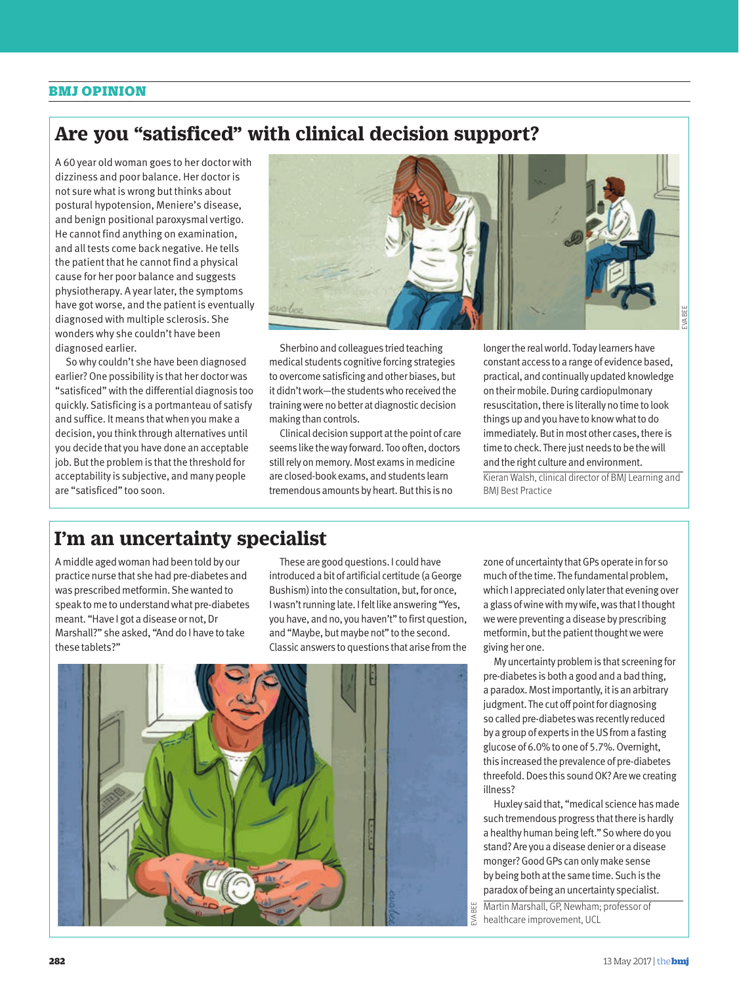# BMJ OPINION

# **Are you "satisficed" with clinical decision support?**

A 60 year old woman goes to her doctor with dizziness and poor balance. Her doctor is not sure what is wrong but thinks about postural hypotension, Meniere's disease, and benign positional paroxysmal vertigo. He cannot find anything on examination, and all tests come back negative. He tells the patient that he cannot find a physical cause for her poor balance and suggests physiotherapy. A year later, the symptoms have got worse, and the patient is eventually diagnosed with multiple sclerosis. She wonders why she couldn't have been diagnosed earlier.

So why couldn't she have been diagnosed earlier? One possibility is that her doctor was "satisficed" with the differential diagnosis too quickly. Satisficing is a portmanteau of satisfy and suffice. It means that when you make a decision, you think through alternatives until you decide that you have done an acceptable job. But the problem is that the threshold for acceptability is subjective, and many people are "satisficed" too soon.



Sherbino and colleagues tried teaching medical students cognitive forcing strategies to overcome satisficing and other biases, but it didn't work—the students who received the training were no better at diagnostic decision making than controls.

Clinical decision support at the point of care seems like the way forward. Too often, doctors still rely on memory. Most exams in medicine are closed-book exams, and students learn tremendous amounts by heart. But this is no

longer the real world. Today learners have constant access to a range of evidence based, practical, and continually updated knowledge on their mobile. During cardiopulmonary resuscitation, there is literally no time to look things up and you have to know what to do immediately. But in most other cases, there is time to check. There just needs to be the will and the right culture and environment. Kieran Walsh, clinical director of BMJ Learning and BMJ Best Practice

# **I'm an uncertainty specialist**

A middle aged woman had been told by our practice nurse that she had pre-diabetes and was prescribed metformin. She wanted to speak to me to understand what pre-diabetes meant. "Have I got a disease or not, Dr Marshall?" she asked, "And do I have to take these tablets?"

These are good questions. I could have introduced a bit of artificial certitude (a George Bushism) into the consultation, but, for once, I wasn't running late. I felt like answering "Yes, you have, and no, you haven't" to first question, and "Maybe, but maybe not" to the second. Classic answers to questions that arise from the



zone of uncertainty that GPs operate in for so much of the time. The fundamental problem, which I appreciated only later that evening over a glass of wine with my wife, was that I thought we were preventing a disease by prescribing metformin, but the patient thought we were giving her one.

My uncertainty problem is that screening for pre-diabetes is both a good and a bad thing, a paradox. Most importantly, it is an arbitrary judgment. The cut off point for diagnosing so called pre-diabetes was recently reduced by a group of experts in the US from a fasting glucose of 6.0% to one of 5.7%. Overnight, this increased the prevalence of pre-diabetes threefold. Does this sound OK? Are we creating illness?

Huxley said that, "medical science has made such tremendous progress that there is hardly a healthy human being left." So where do you stand? Are you a disease denier or a disease monger? Good GPs can only make sense by being both at the same time. Such is the paradox of being an uncertainty specialist.

healthcare improvement, UCL

Martin Marshall, GP, Newham; professor of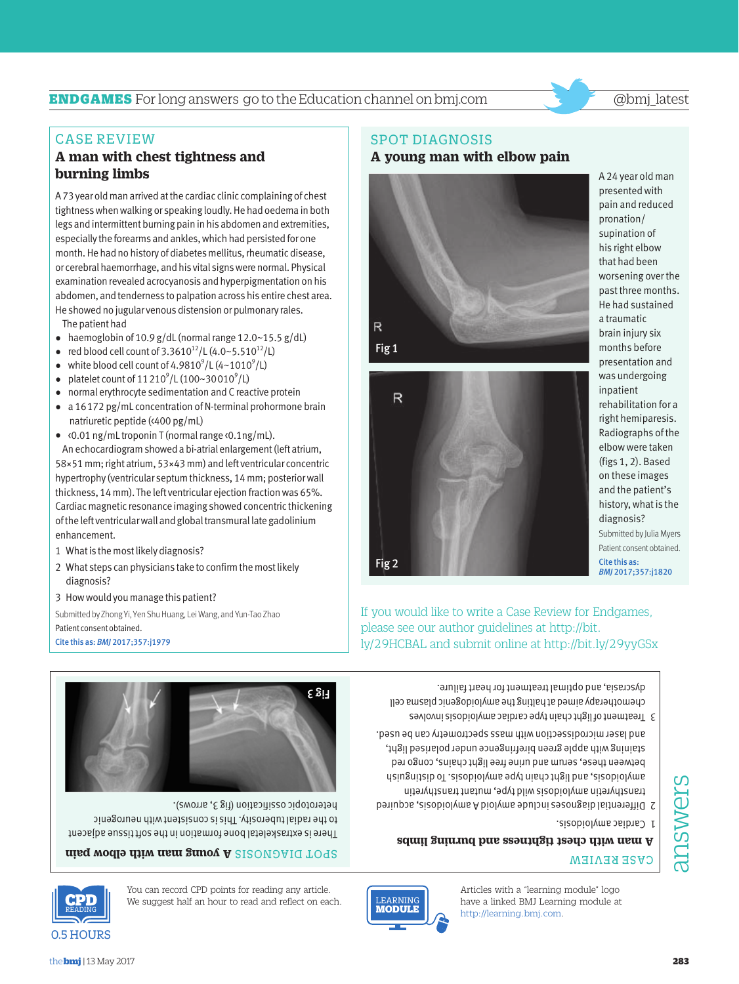

You can record CPD points for reading any article. You can record CPD points for reading any article.<br>We suggest half an hour to read and reflect on each.

### **aisq wodle diiw asm ganoy A** SI2ONƏAIA TO92 MODULE

There is extraskeletal bone formation in the soft tissue adjacent to the radial tuberosity. This is consistent with neurogenic







Patient consent obtained. Cite this as: *BMJ* 2017;357:j1979

Submitted by Zhong Yi, Yen Shu Huang, Lei Wang, and Yun-Tao Zhao

- 3 How would you manage this patient?
- 2 What steps can physicians take to confirm the most likely diagnosis?
- 1 What is the most likely diagnosis?
- An echocardiogram showed a bi-atrial enlargement (left atrium, 58×51 mm; right atrium, 53×43 mm) and left ventricular concentric hypertrophy (ventricular septum thickness, 14 mm; posterior wall thickness, 14 mm). The left ventricular ejection fraction was 65%. Cardiac magnetic resonance imaging showed concentric thickening of the left ventricular wall and global transmural late gadolinium enhancement.
- natriuretic peptide (<400 pg/mL) • <0.01 ng/mL troponin T (normal range <0.1ng/mL).
- normal erythrocyte sedimentation and C reactive protein • a 16172 pg/mL concentration of N-terminal prohormone brain
- platelet count of  $11210^9$ /L (100~30010<sup>9</sup>/L)
- 
- white blood cell count of  $4.9810^9$ /L ( $4~1010^9$ /L)
- 
- 

CASE REVIEW

**burning limbs**

- 
- 
- 
- 
- 
- 
- 
- 
- 
- 
- 
- 
- The patient had

# He showed no jugular venous distension or pulmonary rales.

A 73 year old man arrived at the cardiac clinic complaining of chest tightness when walking or speaking loudly. He had oedema in both legs and intermittent burning pain in his abdomen and extremities, especially the forearms and ankles, which had persisted for one month. He had no history of diabetes mellitus, rheumatic disease, or cerebral haemorrhage, and his vital signs were normal. Physical

# • haemoglobin of 10.9 g/dL (normal range  $12.0 \sim 15.5$  g/dL)

**A man with chest tightness and** 

# • red blood cell count of  $3.3610^{12}$ /L  $(4.0~5.510^{12}$ /L)

# Fig 1



 $\mathbb{R}$ 



A 24 year old man presented with pain and reduced pronation/ supination of his right elbow that had been worsening over the past three months. He had sustained a traumatic brain injury six months before presentation and was undergoing inpatient rehabilitation for a right hemiparesis. Radiographs of the elbow were taken (figs 1, 2). Based on these images and the patient's history, what is the diagnosis? Submitted by Julia Myers Patient consent obtained. Cite this as:

# SPOT DIAGNOSIS

# **A young man with elbow pain**



# CASE REVIEW

# READING **A man with chest tightness and burning limbs**

http://learning.bmj.com.

**EARNING** MODULE

0.5 HOURS

Fig 2

Articles with a "learning module" logo have a linked BMJ Learning module at

- Cardiac amyloidosis. 1
- 
- Differential diagnoses include amyloid A amyloidosis, acquired 2
- transthyretin amyloidosis wild type, mutant transthyretin anyloidosis, and light chaing applying a missinguishing assets a responsion between these, serum and urine free light chains, congo red
- staining with apple green birefringence under polarised light, and laser microdissection with mass spectrometry can be used.
- 3 Treatment of light chain type cardiac amyloidosis involves chemotherapy aimed at halting the amyloidogenic plasma cell dyscrasia, and optimal treatment for heart failure.

If you would like to write a Case Review for Endgames, ly/29HCBAL and submit online at http://bit.ly/29yyGSx



*BMJ* 2017;357:j1820

# **ENDGAMES** For long answers go to the Education channel on bmj.com @bmj\_latest